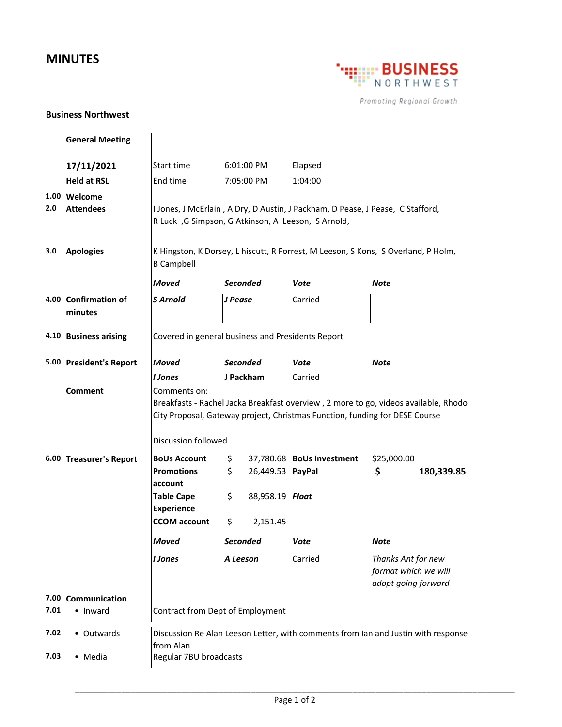## **MINUTES**



Promoting Regional Growth

## **Business Northwest**

|      | <b>General Meeting</b>          |                                                                                                                                                                    |                 |                  |                           |                                                                   |            |  |
|------|---------------------------------|--------------------------------------------------------------------------------------------------------------------------------------------------------------------|-----------------|------------------|---------------------------|-------------------------------------------------------------------|------------|--|
|      | 17/11/2021                      | Start time                                                                                                                                                         |                 | 6:01:00 PM       | Elapsed                   |                                                                   |            |  |
|      | <b>Held at RSL</b>              | End time                                                                                                                                                           |                 | 7:05:00 PM       | 1:04:00                   |                                                                   |            |  |
|      | 1.00 Welcome                    |                                                                                                                                                                    |                 |                  |                           |                                                                   |            |  |
| 2.0  | <b>Attendees</b>                | I Jones, J McErlain, A Dry, D Austin, J Packham, D Pease, J Pease, C Stafford,                                                                                     |                 |                  |                           |                                                                   |            |  |
|      |                                 | R Luck, G Simpson, G Atkinson, A Leeson, S Arnold,                                                                                                                 |                 |                  |                           |                                                                   |            |  |
| 3.0  | <b>Apologies</b>                | K Hingston, K Dorsey, L hiscutt, R Forrest, M Leeson, S Kons, S Overland, P Holm,                                                                                  |                 |                  |                           |                                                                   |            |  |
|      |                                 | <b>B Campbell</b>                                                                                                                                                  |                 |                  |                           |                                                                   |            |  |
|      |                                 | <b>Moved</b>                                                                                                                                                       | <b>Seconded</b> |                  | Vote                      | Note                                                              |            |  |
|      | 4.00 Confirmation of<br>minutes | <b>S</b> Arnold                                                                                                                                                    | J Pease         |                  | Carried                   |                                                                   |            |  |
|      | 4.10 Business arising           | Covered in general business and Presidents Report                                                                                                                  |                 |                  |                           |                                                                   |            |  |
|      | 5.00 President's Report         | <b>Moved</b>                                                                                                                                                       | <b>Seconded</b> |                  | Vote                      | Note                                                              |            |  |
|      |                                 | I Jones                                                                                                                                                            | J Packham       |                  | Carried                   |                                                                   |            |  |
|      | <b>Comment</b>                  | Comments on:                                                                                                                                                       |                 |                  |                           |                                                                   |            |  |
|      |                                 | Breakfasts - Rachel Jacka Breakfast overview, 2 more to go, videos available, Rhodo<br>City Proposal, Gateway project, Christmas Function, funding for DESE Course |                 |                  |                           |                                                                   |            |  |
|      |                                 | Discussion followed                                                                                                                                                |                 |                  |                           |                                                                   |            |  |
|      | 6.00 Treasurer's Report         | <b>BoUs Account</b>                                                                                                                                                | \$              |                  | 37,780.68 BoUs Investment | \$25,000.00                                                       |            |  |
|      |                                 | <b>Promotions</b>                                                                                                                                                  | \$              | 26,449.53 PayPal |                           | \$                                                                | 180,339.85 |  |
|      |                                 | account<br><b>Table Cape</b>                                                                                                                                       | \$.             | 88,958.19 Float  |                           |                                                                   |            |  |
|      |                                 | <b>Experience</b>                                                                                                                                                  |                 |                  |                           |                                                                   |            |  |
|      |                                 | <b>CCOM</b> account                                                                                                                                                | \$              | 2,151.45         |                           |                                                                   |            |  |
|      |                                 | <b>Moved</b>                                                                                                                                                       | Seconded        |                  | Vote                      | Note                                                              |            |  |
|      |                                 | <b>I</b> Jones                                                                                                                                                     | A Leeson        |                  | Carried                   | Thanks Ant for new<br>format which we will<br>adopt going forward |            |  |
|      | 7.00 Communication              |                                                                                                                                                                    |                 |                  |                           |                                                                   |            |  |
| 7.01 | • Inward                        | Contract from Dept of Employment                                                                                                                                   |                 |                  |                           |                                                                   |            |  |
| 7.02 | • Outwards                      | Discussion Re Alan Leeson Letter, with comments from Ian and Justin with response                                                                                  |                 |                  |                           |                                                                   |            |  |
|      |                                 | from Alan                                                                                                                                                          |                 |                  |                           |                                                                   |            |  |
| 7.03 | • Media                         | Regular 7BU broadcasts                                                                                                                                             |                 |                  |                           |                                                                   |            |  |